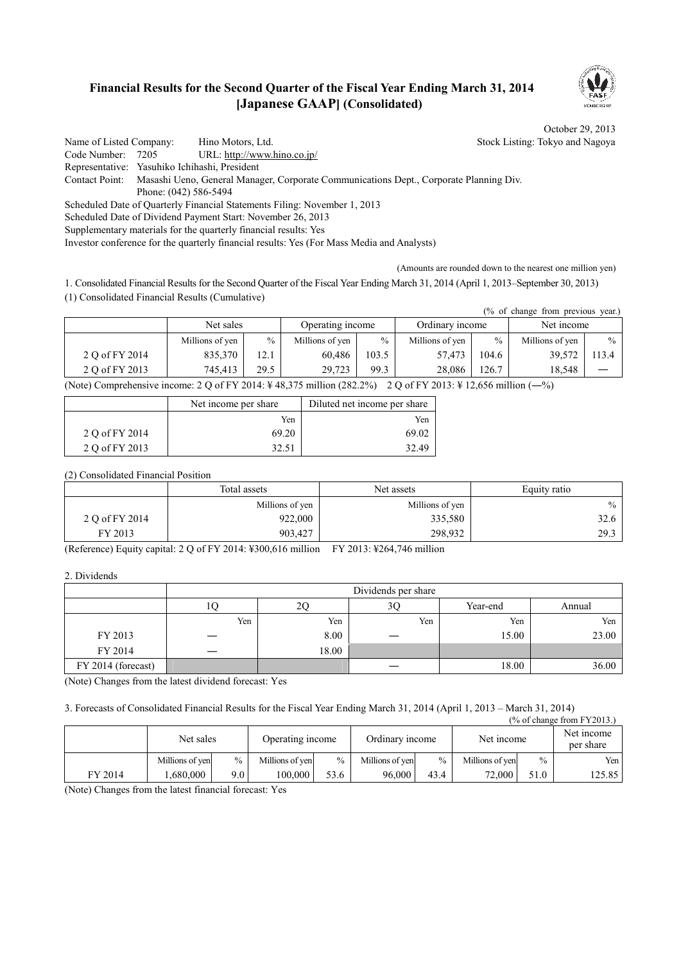### **Financial Results for the Second Quarter of the Fiscal Year Ending March 31, 2014 [Japanese GAAP] (Consolidated)**



 $\overline{N}$  of change  $\overline{S}$ 

October 29, 2013

Name of Listed Company: Hino Motors, Ltd. Stock Listing: Tokyo and Nagoya Code Number: 7205 URL: http://www.hino.co.jp/ Representative: Yasuhiko Ichihashi, President Contact Point: Masashi Ueno, General Manager, Corporate Communications Dept., Corporate Planning Div. Phone: (042) 586-5494 Scheduled Date of Quarterly Financial Statements Filing: November 1, 2013 Scheduled Date of Dividend Payment Start: November 26, 2013 Supplementary materials for the quarterly financial results: Yes Investor conference for the quarterly financial results: Yes (For Mass Media and Analysts)

(Amounts are rounded down to the nearest one million yen)

1. Consolidated Financial Results for the Second Quarter of the Fiscal Year Ending March 31, 2014 (April 1, 2013–September 30, 2013) (1) Consolidated Financial Results (Cumulative)

| (% of change from previous year.) |                 |      |                  |       |                 |       |                 |               |
|-----------------------------------|-----------------|------|------------------|-------|-----------------|-------|-----------------|---------------|
|                                   | Net sales       |      | Operating income |       | Ordinary income |       | Net income      |               |
|                                   | Millions of yen | $\%$ | Millions of yen  | $\%$  | Millions of yen | $\%$  | Millions of yen | $\frac{0}{0}$ |
| 2 Q of FY 2014                    | 835,370         | 12.1 | 60.486           | 103.5 | 57,473          | 104.6 | 39,572          | 113.4         |
| 2 O of FY 2013                    | 745.413         | 29.5 | 29.723           | 99.3  | 28,086          | 126.7 | 18.548          |               |

(Note) Comprehensive income: 2 Q of FY 2014: ¥ 48,375 million (282.2%) 2 Q of FY 2013: ¥ 12,656 million (―%)

|                | Net income per share | Diluted net income per share |
|----------------|----------------------|------------------------------|
|                | Yen.                 | Yen                          |
| 2 Q of FY 2014 | 69.20                | 69.02                        |
| 2 O of FY 2013 | 32.51                | 32.49                        |

(2) Consolidated Financial Position

|                | Total assets    | Net assets      | Equity ratio |
|----------------|-----------------|-----------------|--------------|
|                | Millions of yen | Millions of yen | $\%$         |
| 2 Q of FY 2014 | 922,000         | 335,580         | 32.6         |
| FY 2013        | 903,427         | 298,932         | 29.3         |

(Reference) Equity capital: 2 Q of FY 2014: ¥300,616 million FY 2013: ¥264,746 million

2. Dividends

|                    |     |       | Dividends per share |          |        |
|--------------------|-----|-------|---------------------|----------|--------|
|                    | 10  | 2С    | 3Ç                  | Year-end | Annual |
|                    | Yen | Yen   | Yen                 | Yen      | Yen    |
| FY 2013            |     | 8.00  |                     | 15.00    | 23.00  |
| FY 2014            |     | 18.00 |                     |          |        |
| FY 2014 (forecast) |     |       |                     | 18.00    | 36.00  |

(Note) Changes from the latest dividend forecast: Yes

3. Forecasts of Consolidated Financial Results for the Fiscal Year Ending March 31, 2014 (April 1, 2013 – March 31, 2014)

| (% of change from FY 2013.) |                 |               |                  |               |                 |               |                 |               |                         |
|-----------------------------|-----------------|---------------|------------------|---------------|-----------------|---------------|-----------------|---------------|-------------------------|
|                             | Net sales       |               | Operating income |               | Ordinary income |               | Net income      |               | Net income<br>per share |
|                             | Millions of yen | $\frac{0}{0}$ | Millions of yen  | $\frac{0}{0}$ | Millions of yen | $\frac{0}{0}$ | Millions of yen | $\frac{0}{0}$ | Yen                     |
| FY 2014                     | .680.000        | 9.0           | 100.000          | 53.6          | 96,000          | 43.4          | 72,000          | 51.0          | 125.85                  |

(Note) Changes from the latest financial forecast: Yes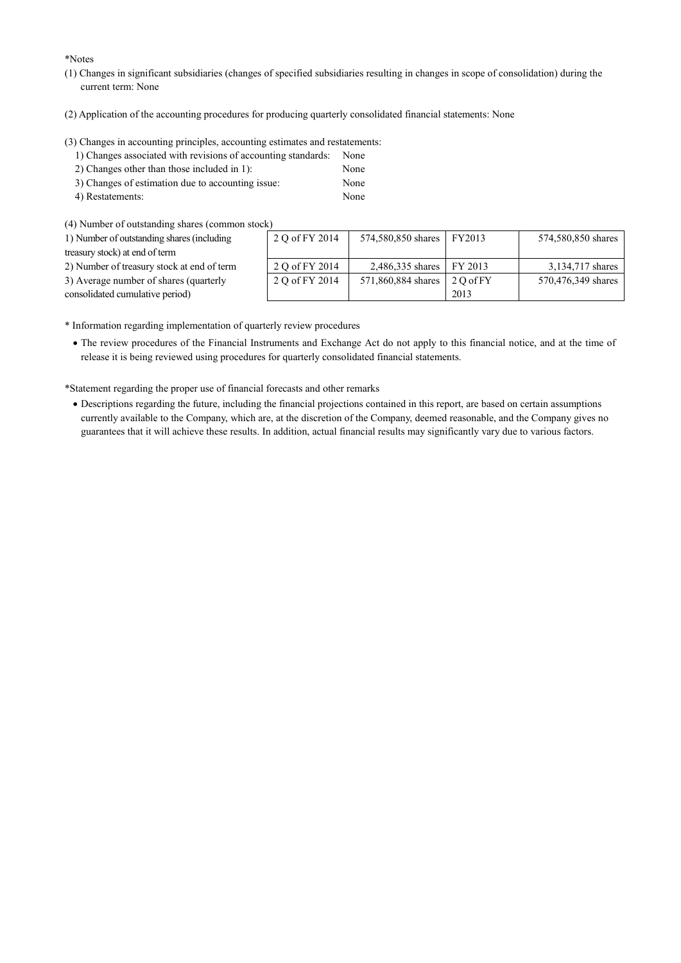\*Notes

- (1) Changes in significant subsidiaries (changes of specified subsidiaries resulting in changes in scope of consolidation) during the current term: None
- (2) Application of the accounting procedures for producing quarterly consolidated financial statements: None

(3) Changes in accounting principles, accounting estimates and restatements:

- 1) Changes associated with revisions of accounting standards: None
- 2) Changes other than those included in 1): None
- 3) Changes of estimation due to accounting issue: None
- 4) Restatements: None

(4) Number of outstanding shares (common stock)

| 1) Number of outstanding shares (including | 2 Q of FY 2014 | 574,580,850 shares   FY2013 |            | 574,580,850 shares |
|--------------------------------------------|----------------|-----------------------------|------------|--------------------|
| treasury stock) at end of term             |                |                             |            |                    |
| 2) Number of treasury stock at end of term | 2 Q of FY 2014 | 2,486,335 shares FY 2013    |            | 3,134,717 shares   |
| 3) Average number of shares (quarterly     | 2 Q of FY 2014 | 571,860,884 shares          | $20$ of FY | 570,476,349 shares |
| consolidated cumulative period)            |                |                             | 2013       |                    |
|                                            |                |                             |            |                    |

\* Information regarding implementation of quarterly review procedures

· The review procedures of the Financial Instruments and Exchange Act do not apply to this financial notice, and at the time of release it is being reviewed using procedures for quarterly consolidated financial statements.

\*Statement regarding the proper use of financial forecasts and other remarks

· Descriptions regarding the future, including the financial projections contained in this report, are based on certain assumptions currently available to the Company, which are, at the discretion of the Company, deemed reasonable, and the Company gives no guarantees that it will achieve these results. In addition, actual financial results may significantly vary due to various factors.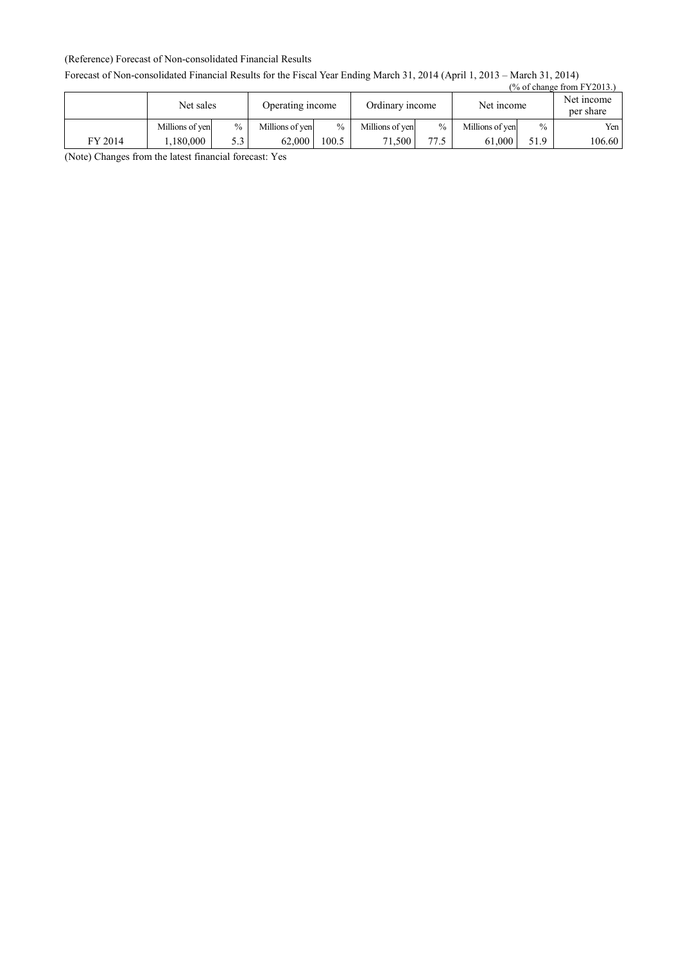### (Reference) Forecast of Non-consolidated Financial Results

### Forecast of Non-consolidated Financial Results for the Fiscal Year Ending March 31, 2014 (April 1, 2013 – March 31, 2014)

|         |                 |               |                  |               |                 |               |                 |      | $\frac{9}{6}$ of change from FY2013.) |
|---------|-----------------|---------------|------------------|---------------|-----------------|---------------|-----------------|------|---------------------------------------|
|         | Net sales       |               | Operating income |               | Ordinary income |               | Net income      |      | Net income<br>per share               |
|         | Millions of yen | $\frac{0}{0}$ | Millions of yen  | $\frac{0}{0}$ | Millions of yen | $\frac{0}{0}$ | Millions of yen | $\%$ | Yen                                   |
| FY 2014 | 1.180.000       | 5.3           | 62.000           | 100.5         | 71.500 +        | 77.5          | 61.000          | 51.9 | 106.60                                |

(Note) Changes from the latest financial forecast: Yes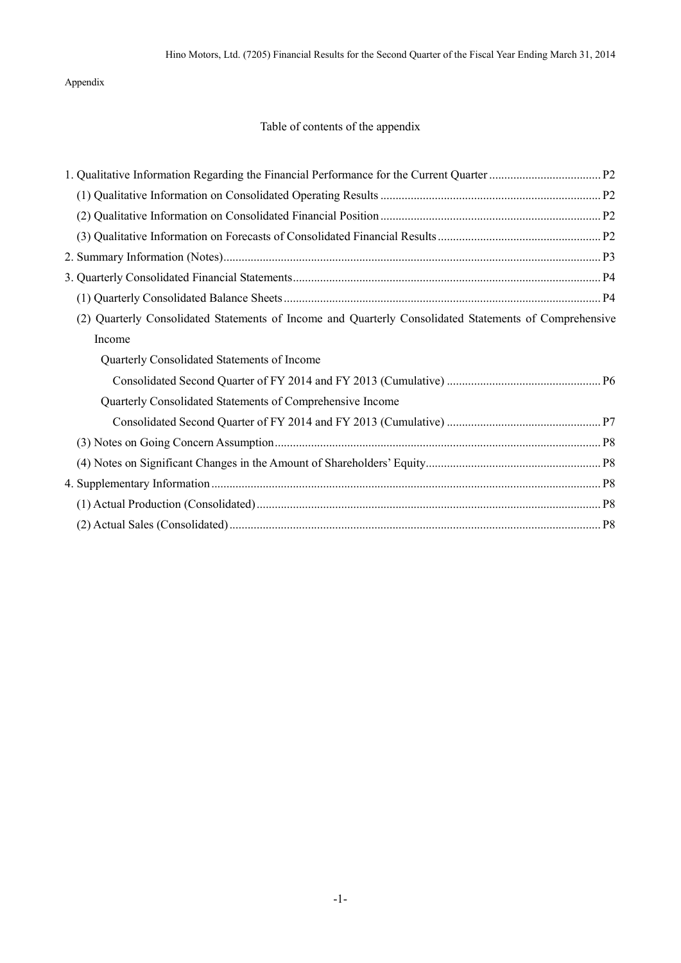Appendix

## Table of contents of the appendix

| (2) Quarterly Consolidated Statements of Income and Quarterly Consolidated Statements of Comprehensive |  |
|--------------------------------------------------------------------------------------------------------|--|
| Income                                                                                                 |  |
| Quarterly Consolidated Statements of Income                                                            |  |
|                                                                                                        |  |
| Quarterly Consolidated Statements of Comprehensive Income                                              |  |
|                                                                                                        |  |
|                                                                                                        |  |
|                                                                                                        |  |
|                                                                                                        |  |
|                                                                                                        |  |
|                                                                                                        |  |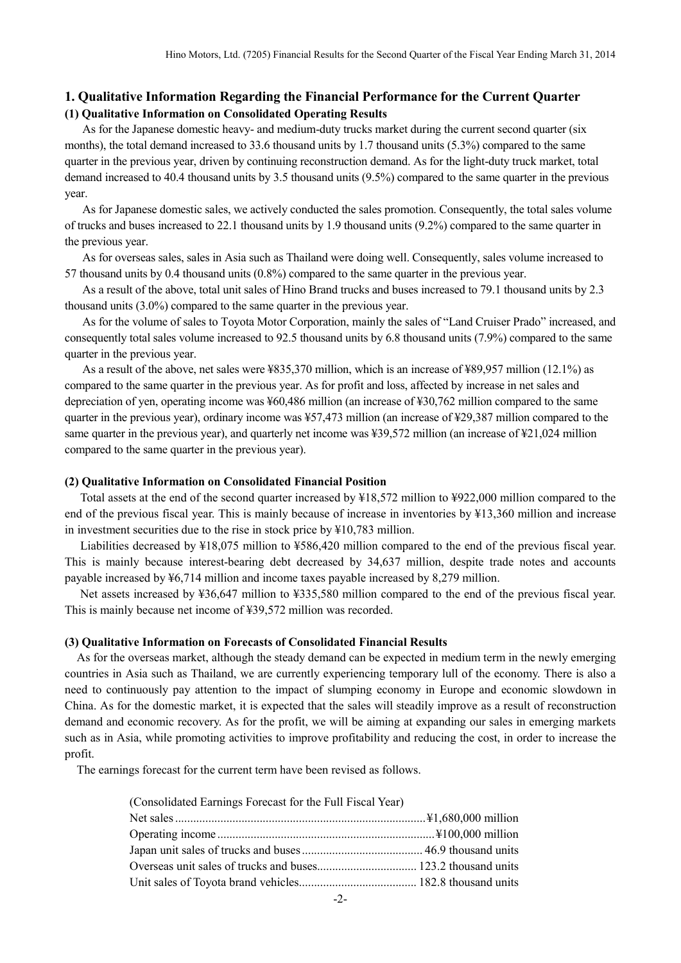### **1. Qualitative Information Regarding the Financial Performance for the Current Quarter (1) Qualitative Information on Consolidated Operating Results**

As for the Japanese domestic heavy- and medium-duty trucks market during the current second quarter (six months), the total demand increased to 33.6 thousand units by 1.7 thousand units (5.3%) compared to the same quarter in the previous year, driven by continuing reconstruction demand. As for the light-duty truck market, total demand increased to 40.4 thousand units by 3.5 thousand units (9.5%) compared to the same quarter in the previous year.

As for Japanese domestic sales, we actively conducted the sales promotion. Consequently, the total sales volume of trucks and buses increased to 22.1 thousand units by 1.9 thousand units (9.2%) compared to the same quarter in the previous year.

As for overseas sales, sales in Asia such as Thailand were doing well. Consequently, sales volume increased to 57 thousand units by 0.4 thousand units (0.8%) compared to the same quarter in the previous year.

As a result of the above, total unit sales of Hino Brand trucks and buses increased to 79.1 thousand units by 2.3 thousand units (3.0%) compared to the same quarter in the previous year.

As for the volume of sales to Toyota Motor Corporation, mainly the sales of "Land Cruiser Prado" increased, and consequently total sales volume increased to 92.5 thousand units by 6.8 thousand units (7.9%) compared to the same quarter in the previous year.

As a result of the above, net sales were ¥835,370 million, which is an increase of ¥89,957 million (12.1%) as compared to the same quarter in the previous year. As for profit and loss, affected by increase in net sales and depreciation of yen, operating income was ¥60,486 million (an increase of ¥30,762 million compared to the same quarter in the previous year), ordinary income was ¥57,473 million (an increase of ¥29,387 million compared to the same quarter in the previous year), and quarterly net income was ¥39,572 million (an increase of ¥21,024 million compared to the same quarter in the previous year).

#### **(2) Qualitative Information on Consolidated Financial Position**

Total assets at the end of the second quarter increased by ¥18,572 million to ¥922,000 million compared to the end of the previous fiscal year. This is mainly because of increase in inventories by ¥13,360 million and increase in investment securities due to the rise in stock price by ¥10,783 million.

Liabilities decreased by ¥18,075 million to ¥586,420 million compared to the end of the previous fiscal year. This is mainly because interest-bearing debt decreased by 34,637 million, despite trade notes and accounts payable increased by ¥6,714 million and income taxes payable increased by 8,279 million.

Net assets increased by ¥36,647 million to ¥335,580 million compared to the end of the previous fiscal year. This is mainly because net income of ¥39,572 million was recorded.

#### **(3) Qualitative Information on Forecasts of Consolidated Financial Results**

As for the overseas market, although the steady demand can be expected in medium term in the newly emerging countries in Asia such as Thailand, we are currently experiencing temporary lull of the economy. There is also a need to continuously pay attention to the impact of slumping economy in Europe and economic slowdown in China. As for the domestic market, it is expected that the sales will steadily improve as a result of reconstruction demand and economic recovery. As for the profit, we will be aiming at expanding our sales in emerging markets such as in Asia, while promoting activities to improve profitability and reducing the cost, in order to increase the profit.

The earnings forecast for the current term have been revised as follows.

| (Consolidated Earnings Forecast for the Full Fiscal Year) |  |
|-----------------------------------------------------------|--|
|                                                           |  |
|                                                           |  |
|                                                           |  |
|                                                           |  |
|                                                           |  |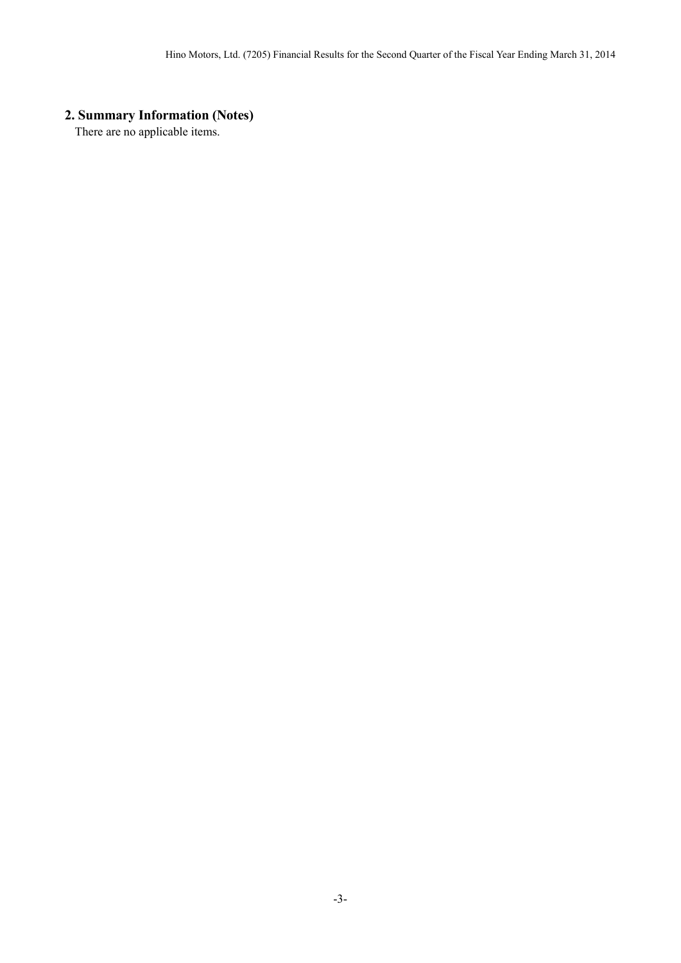# **2. Summary Information (Notes)**

There are no applicable items.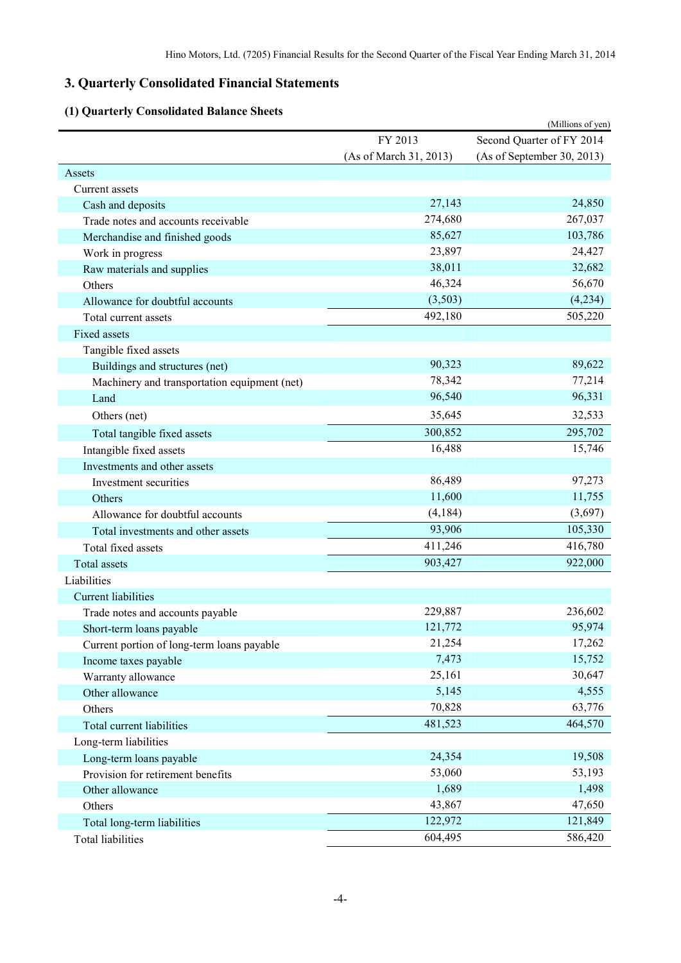# **3. Quarterly Consolidated Financial Statements**

## **(1) Quarterly Consolidated Balance Sheets**

| (1) Quarterly Consolidated Dalance Sheets    |                        | (Millions of yen)          |
|----------------------------------------------|------------------------|----------------------------|
|                                              | FY 2013                | Second Quarter of FY 2014  |
|                                              | (As of March 31, 2013) | (As of September 30, 2013) |
| Assets                                       |                        |                            |
| Current assets                               |                        |                            |
| Cash and deposits                            | 27,143                 | 24,850                     |
| Trade notes and accounts receivable          | 274,680                | 267,037                    |
| Merchandise and finished goods               | 85,627                 | 103,786                    |
| Work in progress                             | 23,897                 | 24,427                     |
| Raw materials and supplies                   | 38,011                 | 32,682                     |
| Others                                       | 46,324                 | 56,670                     |
| Allowance for doubtful accounts              | (3,503)                | (4,234)                    |
| Total current assets                         | 492,180                | 505,220                    |
| Fixed assets                                 |                        |                            |
| Tangible fixed assets                        |                        |                            |
| Buildings and structures (net)               | 90,323                 | 89,622                     |
| Machinery and transportation equipment (net) | 78,342                 | 77,214                     |
| Land                                         | 96,540                 | 96,331                     |
| Others (net)                                 | 35,645                 | 32,533                     |
| Total tangible fixed assets                  | 300,852                | 295,702                    |
| Intangible fixed assets                      | 16,488                 | 15,746                     |
| Investments and other assets                 |                        |                            |
| Investment securities                        | 86,489                 | 97,273                     |
| Others                                       | 11,600                 | 11,755                     |
| Allowance for doubtful accounts              | (4,184)                | (3,697)                    |
| Total investments and other assets           | 93,906                 | 105,330                    |
| Total fixed assets                           | 411,246                | 416,780                    |
| Total assets                                 | 903,427                | 922,000                    |
| Liabilities                                  |                        |                            |
| <b>Current liabilities</b>                   |                        |                            |
| Trade notes and accounts payable             | 229,887                | 236,602                    |
| Short-term loans payable                     | 121,772                | 95,974                     |
| Current portion of long-term loans payable   | 21,254                 | 17,262                     |
| Income taxes payable                         | 7,473                  | 15,752                     |
| Warranty allowance                           | 25,161                 | 30,647                     |
| Other allowance                              | 5,145                  | 4,555                      |
| Others                                       | 70,828                 | 63,776                     |
| Total current liabilities                    | 481,523                | 464,570                    |
| Long-term liabilities                        |                        |                            |
| Long-term loans payable                      | 24,354                 | 19,508                     |
| Provision for retirement benefits            | 53,060                 | 53,193                     |
| Other allowance                              | 1,689                  | 1,498                      |
| Others                                       | 43,867                 | 47,650                     |
| Total long-term liabilities                  | 122,972                | 121,849                    |
| <b>Total liabilities</b>                     | 604,495                | 586,420                    |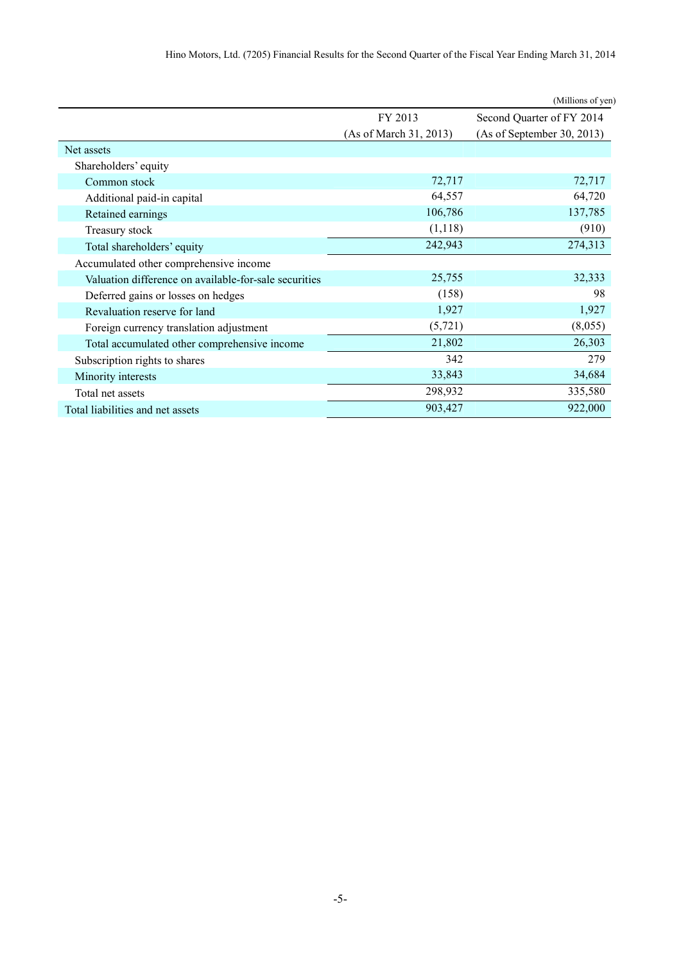|                                                       |                        | (Millions of yen)          |
|-------------------------------------------------------|------------------------|----------------------------|
|                                                       | FY 2013                | Second Quarter of FY 2014  |
|                                                       | (As of March 31, 2013) | (As of September 30, 2013) |
| Net assets                                            |                        |                            |
| Shareholders' equity                                  |                        |                            |
| Common stock                                          | 72,717                 | 72,717                     |
| Additional paid-in capital                            | 64,557                 | 64,720                     |
| Retained earnings                                     | 106,786                | 137,785                    |
| Treasury stock                                        | (1,118)                | (910)                      |
| Total shareholders' equity                            | 242,943                | 274,313                    |
| Accumulated other comprehensive income                |                        |                            |
| Valuation difference on available-for-sale securities | 25,755                 | 32,333                     |
| Deferred gains or losses on hedges                    | (158)                  | 98                         |
| Revaluation reserve for land                          | 1,927                  | 1,927                      |
| Foreign currency translation adjustment               | (5, 721)               | (8,055)                    |
| Total accumulated other comprehensive income          | 21,802                 | 26,303                     |
| Subscription rights to shares                         | 342                    | 279                        |
| Minority interests                                    | 33,843                 | 34,684                     |
| Total net assets                                      | 298,932                | 335,580                    |
| Total liabilities and net assets                      | 903,427                | 922,000                    |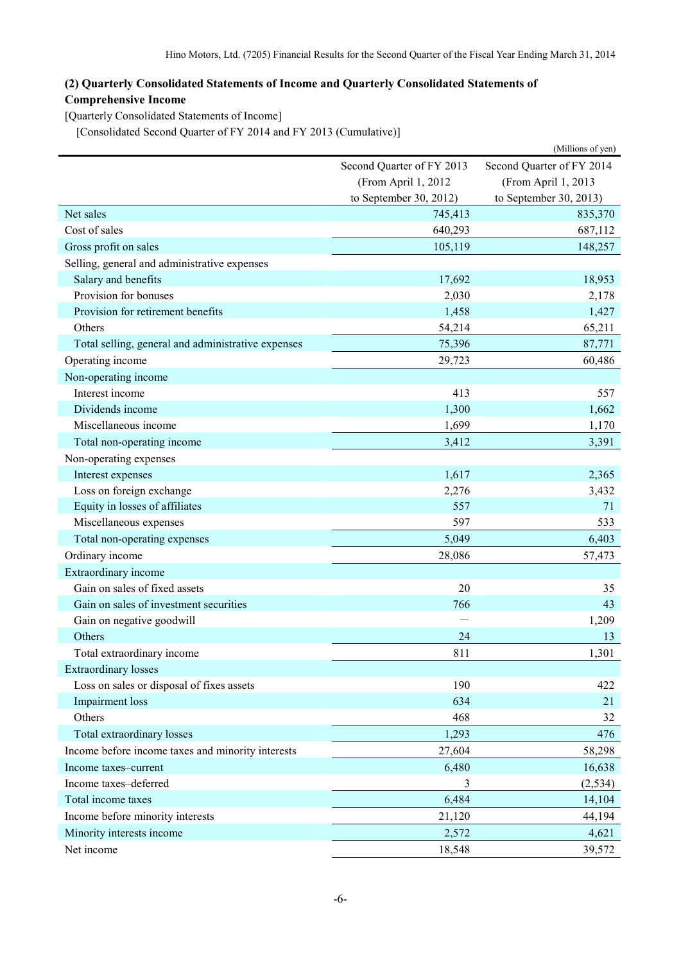## **(2) Quarterly Consolidated Statements of Income and Quarterly Consolidated Statements of Comprehensive Income**

[Quarterly Consolidated Statements of Income]

[Consolidated Second Quarter of FY 2014 and FY 2013 (Cumulative)]

|                                                    |                           | (Millions of yen)         |
|----------------------------------------------------|---------------------------|---------------------------|
|                                                    | Second Quarter of FY 2013 | Second Quarter of FY 2014 |
|                                                    | (From April 1, 2012       | (From April 1, 2013       |
|                                                    | to September 30, 2012)    | to September 30, 2013)    |
| Net sales                                          | 745,413                   | 835,370                   |
| Cost of sales                                      | 640,293                   | 687,112                   |
| Gross profit on sales                              | 105,119                   | 148,257                   |
| Selling, general and administrative expenses       |                           |                           |
| Salary and benefits                                | 17,692                    | 18,953                    |
| Provision for bonuses                              | 2,030                     | 2,178                     |
| Provision for retirement benefits                  | 1,458                     | 1,427                     |
| Others                                             | 54,214                    | 65,211                    |
| Total selling, general and administrative expenses | 75,396                    | 87,771                    |
| Operating income                                   | 29,723                    | 60,486                    |
| Non-operating income                               |                           |                           |
| Interest income                                    | 413                       | 557                       |
| Dividends income                                   | 1,300                     | 1,662                     |
| Miscellaneous income                               | 1,699                     | 1,170                     |
| Total non-operating income                         | 3,412                     | 3,391                     |
| Non-operating expenses                             |                           |                           |
| Interest expenses                                  | 1,617                     | 2,365                     |
| Loss on foreign exchange                           | 2,276                     | 3,432                     |
| Equity in losses of affiliates                     | 557                       | 71                        |
| Miscellaneous expenses                             | 597                       | 533                       |
| Total non-operating expenses                       | 5,049                     | 6,403                     |
| Ordinary income                                    | 28,086                    | 57,473                    |
| Extraordinary income                               |                           |                           |
| Gain on sales of fixed assets                      | 20                        | 35                        |
| Gain on sales of investment securities             | 766                       | 43                        |
| Gain on negative goodwill                          |                           | 1,209                     |
| Others                                             | 24                        | 13                        |
| Total extraordinary income                         | 811                       | 1,301                     |
| <b>Extraordinary losses</b>                        |                           |                           |
| Loss on sales or disposal of fixes assets          | 190                       | 422                       |
| Impairment loss                                    | 634                       | 21                        |
| Others                                             | 468                       | 32                        |
| Total extraordinary losses                         | 1,293                     | 476                       |
| Income before income taxes and minority interests  | 27,604                    | 58,298                    |
| Income taxes-current                               | 6,480                     | 16,638                    |
| Income taxes-deferred                              | 3                         | (2, 534)                  |
| Total income taxes                                 | 6,484                     | 14,104                    |
| Income before minority interests                   | 21,120                    | 44,194                    |
| Minority interests income                          | 2,572                     | 4,621                     |
| Net income                                         | 18,548                    | 39,572                    |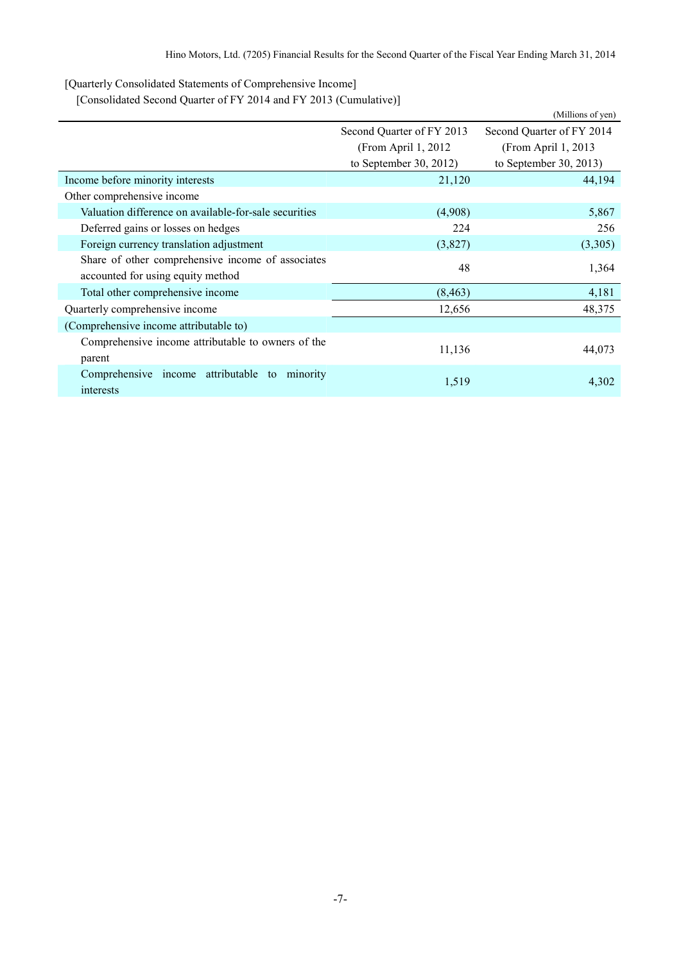[Quarterly Consolidated Statements of Comprehensive Income]

[Consolidated Second Quarter of FY 2014 and FY 2013 (Cumulative)]

|                                                                  |                           | (Millions of yen)         |  |
|------------------------------------------------------------------|---------------------------|---------------------------|--|
|                                                                  | Second Quarter of FY 2013 | Second Quarter of FY 2014 |  |
|                                                                  | (From April 1, 2012)      | (From April 1, 2013       |  |
|                                                                  | to September 30, 2012)    | to September 30, 2013)    |  |
| Income before minority interests                                 | 21,120                    | 44,194                    |  |
| Other comprehensive income                                       |                           |                           |  |
| Valuation difference on available-for-sale securities            | (4,908)                   | 5,867                     |  |
| Deferred gains or losses on hedges                               | 224                       | 256                       |  |
| Foreign currency translation adjustment                          | (3,827)                   | (3,305)                   |  |
| Share of other comprehensive income of associates                | 48                        |                           |  |
| accounted for using equity method                                |                           | 1,364                     |  |
| Total other comprehensive income                                 | (8, 463)                  | 4,181                     |  |
| Quarterly comprehensive income                                   | 12,656                    | 48,375                    |  |
| (Comprehensive income attributable to)                           |                           |                           |  |
| Comprehensive income attributable to owners of the<br>parent     | 11,136                    | 44,073                    |  |
| Comprehensive income attributable<br>minority<br>to<br>interests | 1,519                     | 4,302                     |  |